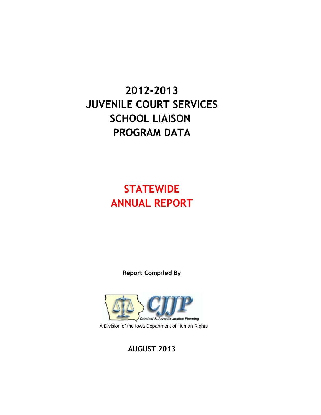# **2012-2013 JUVENILE COURT SERVICES SCHOOL LIAISON PROGRAM DATA**

# **STATEWIDE ANNUAL REPORT**

**Report Compiled By**



**AUGUST 2013**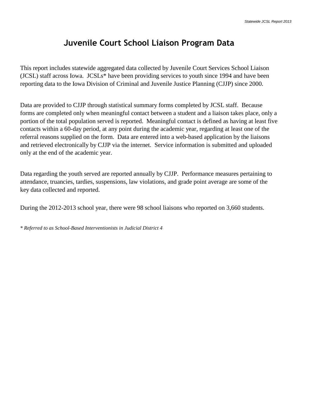# **Juvenile Court School Liaison Program Data**

This report includes statewide aggregated data collected by Juvenile Court Services School Liaison (JCSL) staff across Iowa. JCSLs\* have been providing services to youth since 1994 and have been reporting data to the Iowa Division of Criminal and Juvenile Justice Planning (CJJP) since 2000.

Data are provided to CJJP through statistical summary forms completed by JCSL staff. Because forms are completed only when meaningful contact between a student and a liaison takes place, only a portion of the total population served is reported. Meaningful contact is defined as having at least five contacts within a 60-day period, at any point during the academic year, regarding at least one of the referral reasons supplied on the form. Data are entered into a web-based application by the liaisons and retrieved electronically by CJJP via the internet. Service information is submitted and uploaded only at the end of the academic year.

Data regarding the youth served are reported annually by CJJP. Performance measures pertaining to attendance, truancies, tardies, suspensions, law violations, and grade point average are some of the key data collected and reported.

During the 2012-2013 school year, there were 98 school liaisons who reported on 3,660 students.

*\* Referred to as School-Based Interventionists in Judicial District 4*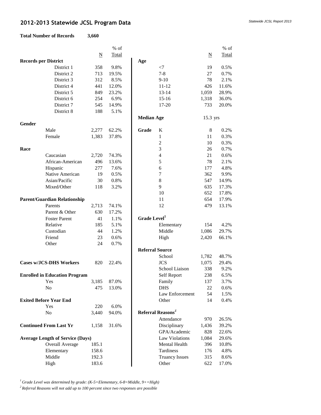# *Statewide JCSL Report 2013* **2012-2013 Statewide JCSL Program Data**

#### **Total Number of Records 3,660**

|   | 3,660 |  |
|---|-------|--|
| s |       |  |
|   |       |  |

|                             |                                         |                          | % of  |                          |                               |                     | $%$ of |
|-----------------------------|-----------------------------------------|--------------------------|-------|--------------------------|-------------------------------|---------------------|--------|
|                             |                                         | $\underline{\mathbf{N}}$ | Total |                          |                               | $\underline{\rm N}$ | Total  |
| <b>Records per District</b> |                                         |                          |       | Age                      |                               |                     |        |
|                             | District 1                              | 358                      | 9.8%  |                          | $<$ 7                         | 19                  | 0.5%   |
|                             | District 2                              | 713                      | 19.5% |                          | $7 - 8$                       | 27                  | 0.7%   |
|                             | District 3                              | 312                      | 8.5%  |                          | $9-10$                        | 78                  | 2.1%   |
|                             | District 4                              | 441                      | 12.0% |                          | $11 - 12$                     | 426                 | 11.6%  |
|                             | District 5                              | 849                      | 23.2% |                          | $13 - 14$                     | 1,059               | 28.9%  |
|                             | District 6                              | 254                      | 6.9%  |                          | $15 - 16$                     | 1,318               | 36.0%  |
|                             | District 7                              | 545                      | 14.9% |                          | 17-20                         | 733                 | 20.0%  |
|                             | District 8                              | 188                      | 5.1%  |                          |                               |                     |        |
|                             |                                         |                          |       | <b>Median Age</b>        |                               | 15.3 yrs            |        |
| Gender                      |                                         |                          |       |                          |                               |                     |        |
|                             | Male                                    | 2,277                    | 62.2% | Grade                    | K                             | 8                   | 0.2%   |
|                             | Female                                  | 1,383                    | 37.8% |                          | $\mathbf{1}$                  | 11                  | 0.3%   |
|                             |                                         |                          |       |                          | $\overline{2}$                | 10                  | 0.3%   |
| Race                        |                                         |                          |       |                          | 3                             | 26                  | 0.7%   |
|                             | Caucasian                               | 2,720                    | 74.3% |                          | $\overline{\mathcal{L}}$      | 21                  | 0.6%   |
|                             | African-American                        | 496                      | 13.6% |                          | 5                             | 78                  | 2.1%   |
|                             | Hispanic                                | 277                      | 7.6%  |                          | 6                             | 177                 | 4.8%   |
|                             | Native American                         | 19                       | 0.5%  |                          | $\tau$                        | 362                 | 9.9%   |
|                             | Asian/Pacific                           | 30                       | 0.8%  |                          | $\,8\,$                       | 547                 | 14.9%  |
|                             | Mixed/Other                             | 118                      | 3.2%  |                          | 9                             | 635                 | 17.3%  |
|                             |                                         |                          |       |                          | 10                            | 652                 | 17.8%  |
|                             | <b>Parent/Guardian Relationship</b>     |                          |       |                          | 11                            | 654                 | 17.9%  |
|                             | Parents                                 | 2,713                    | 74.1% |                          | 12                            | 479                 | 13.1%  |
|                             | Parent & Other                          | 630                      | 17.2% |                          |                               |                     |        |
|                             | <b>Foster Parent</b>                    | 41                       | 1.1%  | Grade Level <sup>1</sup> |                               |                     |        |
|                             | Relative                                | 185                      | 5.1%  |                          | Elementary                    | 154                 | 4.2%   |
|                             | Custodian                               | 44                       | 1.2%  |                          | Middle                        | 1,086               | 29.7%  |
|                             | Friend                                  | 23                       | 0.6%  |                          | High                          | 2,420               | 66.1%  |
|                             | Other                                   | 24                       | 0.7%  |                          |                               |                     |        |
|                             |                                         |                          |       | <b>Referral Source</b>   |                               |                     |        |
|                             |                                         |                          |       |                          | School                        | 1,782               | 48.7%  |
|                             | <b>Cases w/JCS-DHS Workers</b>          | 820                      | 22.4% |                          | <b>JCS</b>                    | 1,075               | 29.4%  |
|                             |                                         |                          |       |                          | School Liaison                | 338                 | 9.2%   |
|                             | <b>Enrolled in Education Program</b>    |                          |       |                          | Self Report                   | 238                 | 6.5%   |
|                             | Yes                                     | 3,185                    | 87.0% |                          | Family                        | 137                 | 3.7%   |
|                             | No                                      | 475                      | 13.0% |                          | <b>DHS</b>                    | 22                  | 0.6%   |
|                             |                                         |                          |       |                          | Law Enforcement               | 54                  | 1.5%   |
|                             | <b>Exited Before Year End</b>           |                          |       |                          | Other                         | 14                  | 0.4%   |
|                             | Yes                                     | 220                      | 6.0%  |                          |                               |                     |        |
|                             | No                                      | 3,440                    | 94.0% |                          | Referral Reasons <sup>2</sup> |                     |        |
|                             |                                         |                          |       |                          | Attendance                    | 970                 | 26.5%  |
|                             | <b>Continued From Last Yr</b>           | 1,158                    | 31.6% |                          | Disciplinary                  | 1,436               | 39.2%  |
|                             |                                         |                          |       |                          | GPA/Academic                  | 828                 | 22.6%  |
|                             | <b>Average Length of Service (Days)</b> |                          |       |                          | <b>Law Violations</b>         | 1,084               | 29.6%  |
|                             | Overall Average                         | 185.1                    |       |                          | Mental Health                 | 396                 | 10.8%  |
|                             | Elementary                              | 158.6                    |       |                          | Tardiness                     | 176                 | 4.8%   |
|                             | Middle                                  | 192.3                    |       |                          | <b>Truancy Issues</b>         | 315                 | 8.6%   |
|                             | High                                    | 183.6                    |       |                          | Other                         | 622                 | 17.0%  |
|                             |                                         |                          |       |                          |                               |                     |        |

*<sup>1</sup> Grade Level was determined by grade: (K-5=Elementary, 6-8=Middle, 9+=High)*

*2 Referral Reasons will not add up to 100 percent since two responses are possible*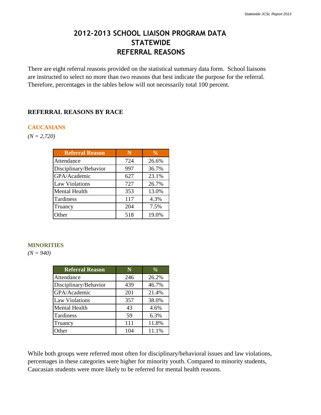# **2012-2013 SCHOOL LIAISON PROGRAM DATA STATEWIDE REFERRAL REASONS**

There are eight referral reasons provided on the statistical summary data form. School liaisons are instructed to select no more than two reasons that best indicate the purpose for the referral. Therefore, percentages in the tables below will not necessarily total 100 percent.

## **REFERRAL REASONS BY RACE**

#### **CAUCASIANS**

*(N = 2,720)*

| <b>Referral Reason</b> | N   | $\frac{1}{2}$ |
|------------------------|-----|---------------|
| Attendance             | 724 | 26.6%         |
| Disciplinary/Behavior  | 997 | 36.7%         |
| GPA/Academic           | 627 | 23.1%         |
| <b>Law Violations</b>  | 727 | 26.7%         |
| <b>Mental Health</b>   | 353 | 13.0%         |
| Tardiness              | 117 | 4.3%          |
| Truancy                | 204 | 7.5%          |
| Other                  | 518 | 19.0%         |

#### **MINORITIES**

*(N = 940)*

| <b>Referral Reason</b> | N   | $\%$  |
|------------------------|-----|-------|
| Attendance             | 246 | 26.2% |
| Disciplinary/Behavior  | 439 | 46.7% |
| GPA/Academic           | 201 | 21.4% |
| <b>Law Violations</b>  | 357 | 38.0% |
| <b>Mental Health</b>   | 43  | 4.6%  |
| Tardiness              | 59  | 6.3%  |
| Truancy                | 111 | 11.8% |
| Other                  | 104 | 11.1% |

While both groups were referred most often for disciplinary/behavioral issues and law violations, percentages in these categories were higher for minority youth. Compared to minority students, Caucasian students were more likely to be referred for mental health reasons.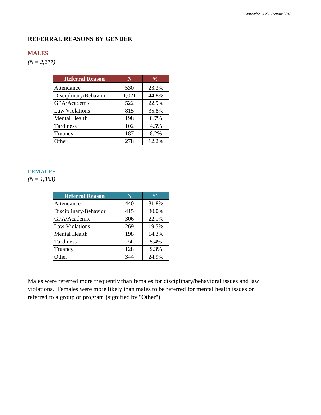### **REFERRAL REASONS BY GENDER**

#### **MALES**

*(N = 2,277)*

| <b>Referral Reason</b> | N     | $\%$  |
|------------------------|-------|-------|
| Attendance             | 530   | 23.3% |
| Disciplinary/Behavior  | 1,021 | 44.8% |
| GPA/Academic           | 522   | 22.9% |
| <b>Law Violations</b>  | 815   | 35.8% |
| <b>Mental Health</b>   | 198   | 8.7%  |
| Tardiness              | 102   | 4.5%  |
| Truancy                | 187   | 8.2%  |
| Other                  | 278   | 12.2% |

#### **FEMALES**

*(N = 1,383)*

| <b>Referral Reason</b> | N   | $\frac{9}{6}$ |
|------------------------|-----|---------------|
| Attendance             | 440 | 31.8%         |
| Disciplinary/Behavior  | 415 | 30.0%         |
| GPA/Academic           | 306 | 22.1%         |
| Law Violations         | 269 | 19.5%         |
| <b>Mental Health</b>   | 198 | 14.3%         |
| Tardiness              | 74  | 5.4%          |
| Truancy                | 128 | 9.3%          |
| Other                  | 344 | 24.9%         |

Males were referred more frequently than females for disciplinary/behavioral issues and law violations. Females were more likely than males to be referred for mental health issues or referred to a group or program (signified by "Other").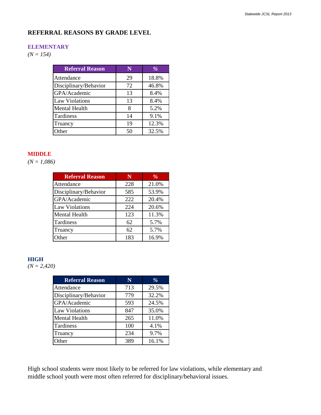#### **REFERRAL REASONS BY GRADE LEVEL**

#### **ELEMENTARY**

*(N = 154)*

| <b>Referral Reason</b> | N  | $\%$  |
|------------------------|----|-------|
| Attendance             | 29 | 18.8% |
| Disciplinary/Behavior  | 72 | 46.8% |
| GPA/Academic           | 13 | 8.4%  |
| <b>Law Violations</b>  | 13 | 8.4%  |
| <b>Mental Health</b>   |    | 5.2%  |
| Tardiness              | 14 | 9.1%  |
| Truancy                | 19 | 12.3% |
| Other                  | 50 | 32.5% |

## **MIDDLE**

*(N = 1,086)*

| <b>Referral Reason</b> | N   | %     |
|------------------------|-----|-------|
| Attendance             | 228 | 21.0% |
| Disciplinary/Behavior  | 585 | 53.9% |
| GPA/Academic           | 222 | 20.4% |
| <b>Law Violations</b>  | 224 | 20.6% |
| <b>Mental Health</b>   | 123 | 11.3% |
| Tardiness              | 62  | 5.7%  |
| Truancy                | 62  | 5.7%  |
| Other                  | 183 | 16.9% |

#### **HIGH**

*(N = 2,420)*

| <b>Referral Reason</b> | N   | $\%$  |
|------------------------|-----|-------|
| Attendance             | 713 | 29.5% |
| Disciplinary/Behavior  | 779 | 32.2% |
| GPA/Academic           | 593 | 24.5% |
| <b>Law Violations</b>  | 847 | 35.0% |
| <b>Mental Health</b>   | 265 | 11.0% |
| Tardiness              | 100 | 4.1%  |
| Truancy                | 234 | 9.7%  |
| Other                  | 389 | 16.1% |

High school students were most likely to be referred for law violations, while elementary and middle school youth were most often referred for disciplinary/behavioral issues.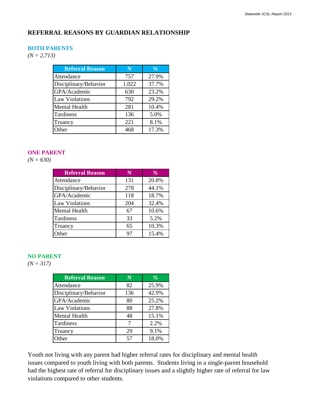## **REFERRAL REASONS BY GUARDIAN RELATIONSHIP**

#### **BOTH PARENTS**

*(N = 2,713)*

| <b>Referral Reason</b> | N     | $\%$  |
|------------------------|-------|-------|
| Attendance             | 757   | 27.9% |
| Disciplinary/Behavior  | 1,022 | 37.7% |
| GPA/Academic           | 630   | 23.2% |
| <b>Law Violations</b>  | 792   | 29.2% |
| <b>Mental Health</b>   | 281   | 10.4% |
| Tardiness              | 136   | 5.0%  |
| Truancy                | 221   | 8.1%  |
| Other                  | 468   | 17.3% |

#### **ONE PARENT**

*(N = 630)*

| <b>Referral Reason</b> | N   | $\%$  |
|------------------------|-----|-------|
| Attendance             | 131 | 20.8% |
| Disciplinary/Behavior  | 278 | 44.1% |
| GPA/Academic           | 118 | 18.7% |
| <b>Law Violations</b>  | 204 | 32.4% |
| <b>Mental Health</b>   | 67  | 10.6% |
| Tardiness              | 33  | 5.2%  |
| Truancy                | 65  | 10.3% |
| Other                  | 97  | 15.4% |

#### **NO PARENT**

*(N = 317)*

| <b>Referral Reason</b> | N   | $\%$  |
|------------------------|-----|-------|
| Attendance             | 82  | 25.9% |
| Disciplinary/Behavior  | 136 | 42.9% |
| GPA/Academic           | 80  | 25.2% |
| <b>Law Violations</b>  | 88  | 27.8% |
| Mental Health          | 48  | 15.1% |
| Tardiness              |     | 2.2%  |
| Truancy                | 29  | 9.1%  |
| Other                  | 57  | 18.0% |

Youth not living with any parent had higher referral rates for disciplinary and mental health issues compared to youth living with both parents. Students living in a single-parent household had the highest rate of referral for disciplinary issues and a slightly higher rate of referral for law violations compared to other students.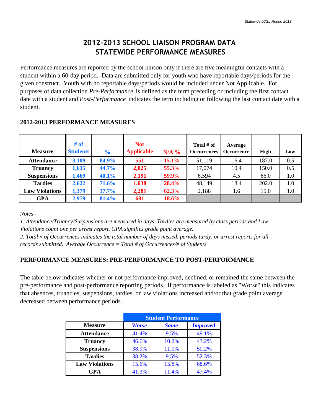# **2012-2013 SCHOOL LIAISON PROGRAM DATA STATEWIDE PERFORMANCE MEASURES**

Performance measures are reported by the school liaison only if there are five meaningful contacts with a student within a 60-day period. Data are submitted only for youth who have reportable days/periods for the given construct. Youth with no reportable days/periods would be included under Not Applicable. For purposes of data collection *Pre-Performance* is defined as the term preceding or including the first contact date with a student and *Post-Performance* indicates the term including or following the last contact date with a student.

| <b>Measure</b>        | # of<br><b>Students</b> | $\frac{1}{2}$ | <b>Not</b><br><b>Applicable</b> | $N/A$ % | Total $#$ of<br><b>Occurrences</b> | Average<br><b>Occurrence</b> | <b>High</b> | Low |
|-----------------------|-------------------------|---------------|---------------------------------|---------|------------------------------------|------------------------------|-------------|-----|
| <b>Attendance</b>     | 3,109                   | 84.9%         | 551                             | 15.1%   | 51,119                             | 16.4                         | 187.0       | 0.5 |
| <b>Truancy</b>        | 1,635                   | 44.7%         | 2,025                           | 55.3%   | 17,074                             | 10.4                         | 150.0       | 0.5 |
| <b>Suspensions</b>    | 1,469                   | 40.1%         | 2,191                           | 59.9%   | 6,594                              | 4.5                          | 66.0        | 1.0 |
| <b>Tardies</b>        | 2,622                   | 71.6%         | 1,038                           | 28.4%   | 48,149                             | 18.4                         | 202.0       | 1.0 |
| <b>Law Violations</b> | 1,379                   | 37.7%         | 2,281                           | 62.3%   | 2,188                              | 1.6                          | 15.0        | 1.0 |
| <b>GPA</b>            | 2,979                   | 81.4%         | 681                             | 18.6%   |                                    |                              |             |     |

## **2012-2013 PERFORMANCE MEASURES**

*Notes -* 

*1. Attendance/Truancy/Suspensions are measured in days, Tardies are measured by class periods and Law Violations count one per arrest report. GPA signifies grade point average.*

*2. Total # of Occurrences indicates the total number of days missed, periods tardy, or arrest reports for all records submitted. Average Occurrence = Total # of Occurrences/# of Students*

# **PERFORMANCE MEASURES: PRE-PERFORMANCE TO POST-PERFORMANCE**

The table below indicates whether or not performance improved, declined, or remained the same between the pre-performance and post-performance reporting periods. If performance is labeled as "Worse" this indicates that absences, truancies, suspensions, tardies, or law violations increased and/or that grade point average decreased between performance periods.

|                       |              | <b>Student Performance</b> |                 |
|-----------------------|--------------|----------------------------|-----------------|
| <b>Measure</b>        | <b>Worse</b> | <b>Same</b>                | <b>Improved</b> |
| <b>Attendance</b>     | 41.4%        | 9.5%                       | 49.1%           |
| <b>Truancy</b>        | 46.6%        | 10.2%                      | 43.2%           |
| <b>Suspensions</b>    | 38.9%        | 11.0%                      | 50.2%           |
| <b>Tardies</b>        | 38.2%        | 9.5%                       | 52.3%           |
| <b>Law Violations</b> | 15.6%        | 15.8%                      | 68.6%           |
| <b>GPA</b>            | 41.3%        | 11.4%                      | 47.4%           |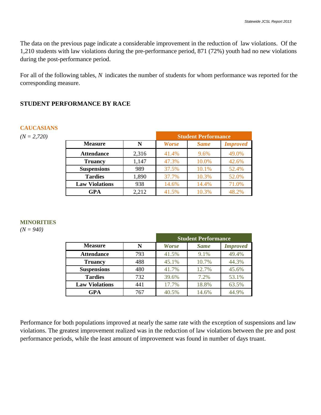The data on the previous page indicate a considerable improvement in the reduction of law violations. Of the 1,210 students with law violations during the pre-performance period, 871 (72%) youth had no new violations during the post-performance period.

For all of the following tables, *N* indicates the number of students for whom performance was reported for the corresponding measure.

## **STUDENT PERFORMANCE BY RACE**

#### **CAUCASIANS**

 $(N = 2,720)$ 

|                       |       | <b>Student Performance</b> |             |                 |  |  |
|-----------------------|-------|----------------------------|-------------|-----------------|--|--|
| <b>Measure</b>        | N     | <b>Worse</b>               | <b>Same</b> | <b>Improved</b> |  |  |
| <b>Attendance</b>     | 2,316 | 41.4%                      | 9.6%        | 49.0%           |  |  |
| <b>Truancy</b>        | 1,147 | 47.3%                      | 10.0%       | 42.6%           |  |  |
| <b>Suspensions</b>    | 989   | 37.5%                      | 10.1%       | 52.4%           |  |  |
| <b>Tardies</b>        | 1,890 | 37.7%                      | 10.3%       | 52.0%           |  |  |
| <b>Law Violations</b> | 938   | 14.6%                      | 14.4%       | 71.0%           |  |  |
| GPA                   | 2,212 | 41.5%                      | 10.3%       | 48.2%           |  |  |

#### **MINORITIES**

*(N = 940)*

|                       |     | <b>Student Performance</b> |             |                 |  |  |
|-----------------------|-----|----------------------------|-------------|-----------------|--|--|
| <b>Measure</b>        | N   | <b>Worse</b>               | <b>Same</b> | <b>Improved</b> |  |  |
| <b>Attendance</b>     | 793 | 41.5%                      | 9.1%        | 49.4%           |  |  |
| <b>Truancy</b>        | 488 | 45.1%                      | 10.7%       | 44.3%           |  |  |
| <b>Suspensions</b>    | 480 | 41.7%                      | 12.7%       | 45.6%           |  |  |
| <b>Tardies</b>        | 732 | 39.6%                      | 7.2%        | 53.1%           |  |  |
| <b>Law Violations</b> | 441 | 17.7%                      | 18.8%       | 63.5%           |  |  |
| GPA                   | 767 | 40.5%                      | 14.6%       | 44.9%           |  |  |

Performance for both populations improved at nearly the same rate with the exception of suspensions and law violations. The greatest improvement realized was in the reduction of law violations between the pre and post performance periods, while the least amount of improvement was found in number of days truant.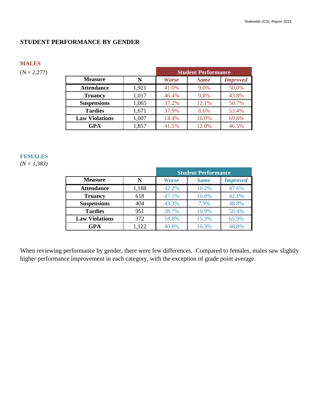#### **STUDENT PERFORMANCE BY GENDER**

#### **MALES**

 $(N = 2,277)$ 

|                       |       | <b>Student Performance</b> |             |                 |  |
|-----------------------|-------|----------------------------|-------------|-----------------|--|
| <b>Measure</b>        | N     | <b>Worse</b>               | <b>Same</b> | <b>Improved</b> |  |
| <b>Attendance</b>     | 1,921 | 41.0%                      | 9.0%        | 50.0%           |  |
| <b>Truancy</b>        | 1,017 | 46.4%                      | 9.8%        | 43.8%           |  |
| <b>Suspensions</b>    | 1,065 | 37.2%                      | 12.1%       | 50.7%           |  |
| <b>Tardies</b>        | 1,671 | 37.9%                      | 8.6%        | 53.4%           |  |
| <b>Law Violations</b> | 1,007 | 14.4%                      | 16.0%       | 69.6%           |  |
| GPA                   | 1,857 | 41.5%                      | 12.0%       | 46.5%           |  |

#### **FEMALES**

*(N = 1,383)*

|                       |       | <b>Student Performance</b> |             |                 |  |  |
|-----------------------|-------|----------------------------|-------------|-----------------|--|--|
| <b>Measure</b>        | N     | <b>Worse</b>               | <b>Same</b> | <b>Improved</b> |  |  |
| <b>Attendance</b>     | 1,188 | 42.2%                      | 10.2%       | 47.6%           |  |  |
| <b>Truancy</b>        | 618   | 47.1%                      | 10.8%       | 42.1%           |  |  |
| <b>Suspensions</b>    | 404   | 43.3%                      | 7.9%        | 48.8%           |  |  |
| <b>Tardies</b>        | 951   | 38.7%                      | 10.9%       | 50.4%           |  |  |
| <b>Law Violations</b> | 372   | 18.8%                      | 15.3%       | 65.9%           |  |  |
| GPA                   | 1,122 | 40.8%                      | 10.3%       | 48.8%           |  |  |

When reviewing performance by gender, there were few differences. Compared to females, males saw slightly higher performance improvement in each category, with the exception of grade point average.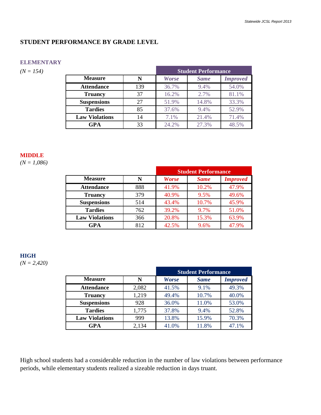#### **STUDENT PERFORMANCE BY GRADE LEVEL**

#### **ELEMENTARY**

 $(N = 154)$ 

|                       |     | <b>Student Performance</b> |             |                 |  |
|-----------------------|-----|----------------------------|-------------|-----------------|--|
| <b>Measure</b>        | N   | <b>Worse</b>               | <b>Same</b> | <b>Improved</b> |  |
| <b>Attendance</b>     | 139 | 36.7%                      | 9.4%        | 54.0%           |  |
| <b>Truancy</b>        | 37  | 16.2%                      | 2.7%        | 81.1%           |  |
| <b>Suspensions</b>    | 27  | 51.9%                      | 14.8%       | 33.3%           |  |
| <b>Tardies</b>        | 85  | 37.6%                      | 9.4%        | 52.9%           |  |
| <b>Law Violations</b> | 14  | 7.1%                       | 21.4%       | 71.4%           |  |
| GPA                   | 33  | 24.2%                      | 27.3%       | 48.5%           |  |

#### **MIDDLE**

*(N = 1,086)*

|                       |     | <b>Student Performance</b> |             |                 |  |
|-----------------------|-----|----------------------------|-------------|-----------------|--|
| <b>Measure</b>        | N   | <b>Worse</b>               | <b>Same</b> | <b>Improved</b> |  |
| <b>Attendance</b>     | 888 | 41.9%                      | 10.2%       | 47.9%           |  |
| <b>Truancy</b>        | 379 | 40.9%                      | 9.5%        | 49.6%           |  |
| <b>Suspensions</b>    | 514 | 43.4%                      | 10.7%       | 45.9%           |  |
| <b>Tardies</b>        | 762 | 39.2%                      | 9.7%        | 51.0%           |  |
| <b>Law Violations</b> | 366 | 20.8%                      | 15.3%       | 63.9%           |  |
| GPA                   | 812 | 42.5%                      | 9.6%        | 47.9%           |  |

## **HIGH**

*(N = 2,420)*

|                       |       | <b>Student Performance</b> |             |                 |  |
|-----------------------|-------|----------------------------|-------------|-----------------|--|
| <b>Measure</b>        | N     | <b>Worse</b>               | <b>Same</b> | <b>Improved</b> |  |
| <b>Attendance</b>     | 2,082 | 41.5%                      | 9.1%        | 49.3%           |  |
| <b>Truancy</b>        | 1,219 | 49.4%                      | 10.7%       | 40.0%           |  |
| <b>Suspensions</b>    | 928   | 36.0%                      | 11.0%       | 53.0%           |  |
| <b>Tardies</b>        | 1,775 | 37.8%                      | 9.4%        | 52.8%           |  |
| <b>Law Violations</b> | 999   | 13.8%                      | 15.9%       | 70.3%           |  |
| GPA                   | 2,134 | 41.0%                      | 11.8%       | 47.1%           |  |

High school students had a considerable reduction in the number of law violations between performance periods, while elementary students realized a sizeable reduction in days truant.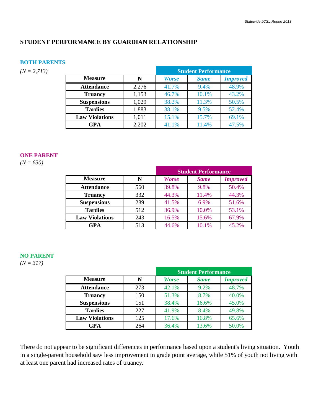#### **STUDENT PERFORMANCE BY GUARDIAN RELATIONSHIP**

#### **BOTH PARENTS**

 $(N = 2,713)$ 

|                       |       | <b>Student Performance</b> |             |                 |  |  |
|-----------------------|-------|----------------------------|-------------|-----------------|--|--|
| <b>Measure</b>        | N     | <b>Worse</b>               | <b>Same</b> | <b>Improved</b> |  |  |
| <b>Attendance</b>     | 2,276 | 41.7%                      | 9.4%        | 48.9%           |  |  |
| <b>Truancy</b>        | 1,153 | 46.7%                      | 10.1%       | 43.2%           |  |  |
| <b>Suspensions</b>    | 1,029 | 38.2%                      | 11.3%       | 50.5%           |  |  |
| <b>Tardies</b>        | 1,883 | 38.1%                      | 9.5%        | 52.4%           |  |  |
| <b>Law Violations</b> | 1,011 | 15.1%                      | 15.7%       | 69.1%           |  |  |
| GPA                   | 2,202 | 41.1%                      | 11.4%       | 47.5%           |  |  |

## **ONE PARENT**

*(N = 630)*

|                       |     | <b>Student Performance</b> |             |                 |  |
|-----------------------|-----|----------------------------|-------------|-----------------|--|
| <b>Measure</b>        | N   | <b>Worse</b>               | <b>Same</b> | <b>Improved</b> |  |
| <b>Attendance</b>     | 560 | 39.8%                      | 9.8%        | 50.4%           |  |
| <b>Truancy</b>        | 332 | 44.3%                      | 11.4%       | 44.3%           |  |
| <b>Suspensions</b>    | 289 | 41.5%                      | 6.9%        | 51.6%           |  |
| <b>Tardies</b>        | 512 | 36.9%                      | 10.0%       | 53.1%           |  |
| <b>Law Violations</b> | 243 | 16.5%                      | 15.6%       | 67.9%           |  |
| GPA                   | 513 | 44.6%                      | 10.1%       | 45.2%           |  |

## **NO PARENT**

*(N = 317)*

|                       |     | <b>Student Performance</b> |             |                 |  |
|-----------------------|-----|----------------------------|-------------|-----------------|--|
| <b>Measure</b>        | N   | <b>Worse</b>               | <b>Same</b> | <b>Improved</b> |  |
| <b>Attendance</b>     | 273 | 42.1%                      | 9.2%        | 48.7%           |  |
| <b>Truancy</b>        | 150 | 51.3%                      | 8.7%        | 40.0%           |  |
| <b>Suspensions</b>    | 151 | 38.4%                      | 16.6%       | 45.0%           |  |
| <b>Tardies</b>        | 227 | 41.9%                      | 8.4%        | 49.8%           |  |
| <b>Law Violations</b> | 125 | 17.6%                      | 16.8%       | 65.6%           |  |
| GPA                   | 264 | 36.4%                      | 13.6%       | 50.0%           |  |

There do not appear to be significant differences in performance based upon a student's living situation. Youth in a single-parent household saw less improvement in grade point average, while 51% of youth not living with at least one parent had increased rates of truancy.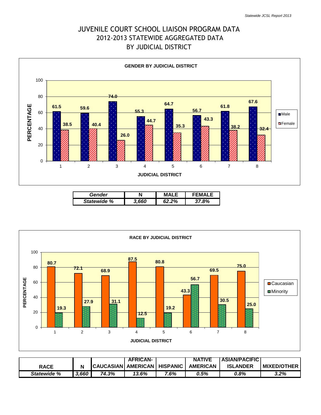# 2012-2013 STATEWIDE AGGREGATED DATA BY JUDICIAL DISTRICT JUVENILE COURT SCHOOL LIAISON PROGRAM DATA



| Gender      | N    | MΔI   | FMAL |
|-------------|------|-------|------|
| Statewide % | .660 | 62.2% | .8%  |



|                    |       |                                 | <b>AFRICAN-</b> |      | <b>NATIVE</b>   | <b>ASIAN/PACIFIC</b> |                     |
|--------------------|-------|---------------------------------|-----------------|------|-----------------|----------------------|---------------------|
| <b>RACE</b>        | Ν     | CAUCASIAN   AMERICAN   HISPANIC |                 |      | <b>AMERICAN</b> | <b>ISLANDER</b>      | <b>IMIXED/OTHER</b> |
| <b>Statewide %</b> | 3,660 | 74.3%                           | 13.6%           | 7.6% | 0.5%            | 0.8%                 | 3.2%                |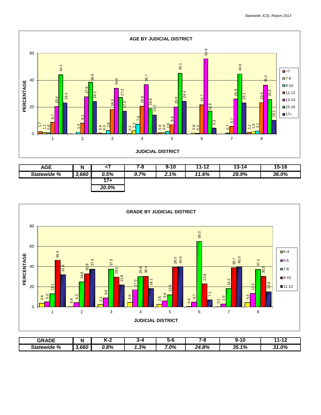

| <b>AGE</b>  | Ν     |       | 7-8  | $9 - 10$ | 11-12 | 13-14 | 15-16 |
|-------------|-------|-------|------|----------|-------|-------|-------|
| Statewide % | 3,660 | 0.5%  | 0.7% | 2.1%     | 11.6% | 28.9% | 36.0% |
|             |       | 7+    |      |          |       |       |       |
|             |       | 20.0% |      |          |       |       |       |



| <b>GRADE</b>   | IV          | м-4  | 3-4<br> | ה ה | --    | . .      | <br>л л                         |
|----------------|-------------|------|---------|-----|-------|----------|---------------------------------|
| %<br>Statewide | .660<br>- 1 | 0.8% | 1.3%    | .0% | 24.8% | 1%<br>35 | $\Omega$<br>24<br>1.U70<br>- 11 |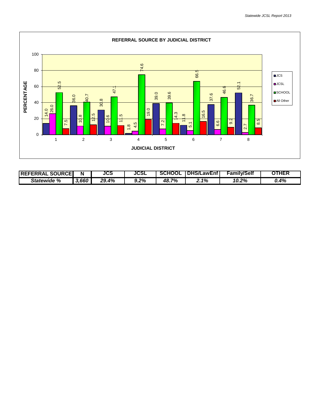

| <b>SOURCEI</b><br><b>IREFERRAL</b> |       | JCS   | <b>JCSL</b> | <b>SCHOOL</b> | <b>DHS/LawEnf</b> | <b>Family/Self</b> | OTHEF |
|------------------------------------|-------|-------|-------------|---------------|-------------------|--------------------|-------|
| %<br>Statewide                     | 3,660 | 29.4% | $9.2\%$     | 7%<br>48. ,   | 1%                | 10.2%              | 0.4%  |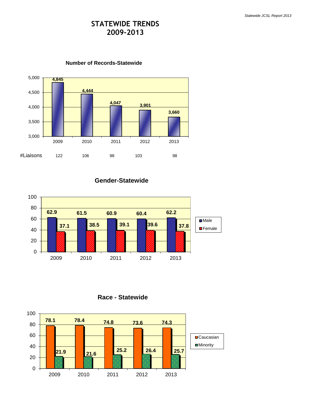# **STATEWIDE TRENDS 2009-2013**



**Number of Records-Statewide**

**Gender-Statewide**



**Race - Statewide**

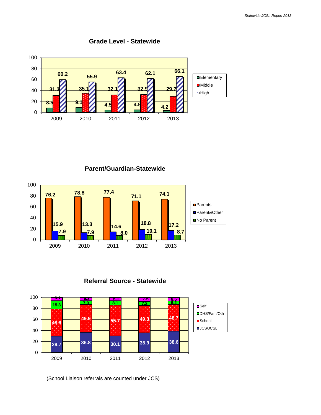

**Grade Level - Statewide**

**Parent/Guardian-Statewide**







(School Liaison referrals are counted under JCS)